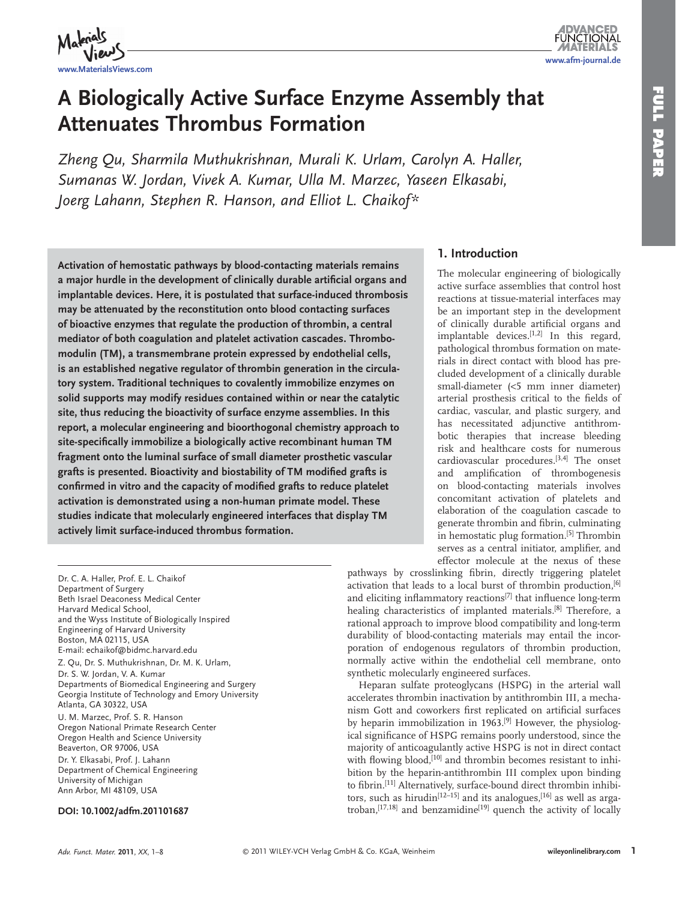

FUNCTIONAL **www.afm-journal.de**

# **A Biologically Active Surface Enzyme Assembly that Attenuates Thrombus Formation**

 *Zheng Qu , Sharmila Muthukrishnan , Murali K. Urlam , Carolyn A. Haller ,*  Sumanas W. Jordan, Vivek A. Kumar, Ulla M. Marzec, Yaseen Elkasabi, *Joerg Lahann, Stephen R. Hanson, and Elliot L. Chaikof\** 

 **Activation of hemostatic pathways by blood-contacting materials remains**  a major hurdle in the development of clinically durable artificial organs and **implantable devices. Here, it is postulated that surface-induced thrombosis may be attenuated by the reconstitution onto blood contacting surfaces of bioactive enzymes that regulate the production of thrombin, a central mediator of both coagulation and platelet activation cascades. Thrombomodulin (TM), a transmembrane protein expressed by endothelial cells, is an established negative regulator of thrombin generation in the circulatory system. Traditional techniques to covalently immobilize enzymes on solid supports may modify residues contained within or near the catalytic site, thus reducing the bioactivity of surface enzyme assemblies. In this report, a molecular engineering and bioorthogonal chemistry approach to**  site-specifically immobilize a biologically active recombinant human TM **fragment onto the luminal surface of small diameter prosthetic vascular**  grafts is presented. Bioactivity and biostability of TM modified grafts is confirmed in vitro and the capacity of modified grafts to reduce platelet activation is demonstrated using a non-human primate model. These studies indicate that molecularly engineered interfaces that display TM **actively limit surface-induced thrombus formation.** 

Dr. C. A. Haller, Prof. E. L. Chaikof Department of Surgery Beth Israel Deaconess Medical Center Harvard Medical School, and the Wyss Institute of Biologically Inspired Engineering of Harvard University Boston, MA 02115, USA E-mail: echaikof@bidmc.harvard.edu Z. Qu, Dr. S. Muthukrishnan, Dr. M. K. Urlam, Dr. S. W. Jordan, V. A. Kumar Departments of Biomedical Engineering and Surgery Georgia Institute of Technology and Emory University Atlanta, GA 30322, USA U. M. Marzec, Prof. S. R. Hanson Oregon National Primate Research Center Oregon Health and Science University Beaverton, OR 97006, USA Dr. Y. Elkasabi, Prof. J. Lahann Department of Chemical Engineering University of Michigan Ann Arbor, MI 48109, USA

## **DOI: 10.1002/adfm.201101687**

## **1. Introduction**

 The molecular engineering of biologically active surface assemblies that control host reactions at tissue-material interfaces may be an important step in the development of clinically durable artificial organs and implantable devices. $[1,2]$  In this regard, pathological thrombus formation on materials in direct contact with blood has precluded development of a clinically durable small-diameter (<5 mm inner diameter) arterial prosthesis critical to the fields of cardiac, vascular, and plastic surgery, and has necessitated adjunctive antithrombotic therapies that increase bleeding risk and healthcare costs for numerous cardiovascular procedures.<sup>[3,4]</sup> The onset and amplification of thrombogenesis on blood-contacting materials involves concomitant activation of platelets and elaboration of the coagulation cascade to generate thrombin and fibrin, culminating in hemostatic plug formation.<sup>[5]</sup> Thrombin serves as a central initiator, amplifier, and effector molecule at the nexus of these

pathways by crosslinking fibrin, directly triggering platelet activation that leads to a local burst of thrombin production, [6] and eliciting inflammatory reactions<sup>[7]</sup> that influence long-term healing characteristics of implanted materials.<sup>[8]</sup> Therefore, a rational approach to improve blood compatibility and long-term durability of blood-contacting materials may entail the incorporation of endogenous regulators of thrombin production, normally active within the endothelial cell membrane, onto synthetic molecularly engineered surfaces.

 Heparan sulfate proteoglycans (HSPG) in the arterial wall accelerates thrombin inactivation by antithrombin III, a mechanism Gott and coworkers first replicated on artificial surfaces by heparin immobilization in 1963.<sup>[9]</sup> However, the physiological significance of HSPG remains poorly understood, since the majority of anticoagulantly active HSPG is not in direct contact with flowing blood,<sup>[10]</sup> and thrombin becomes resistant to inhibition by the heparin-antithrombin III complex upon binding to fibrin.<sup>[11]</sup> Alternatively, surface-bound direct thrombin inhibitors, such as hirudin<sup>[12-15]</sup> and its analogues,<sup>[16]</sup> as well as argatroban,  $[17, 18]$  and benzamidine $[19]$  quench the activity of locally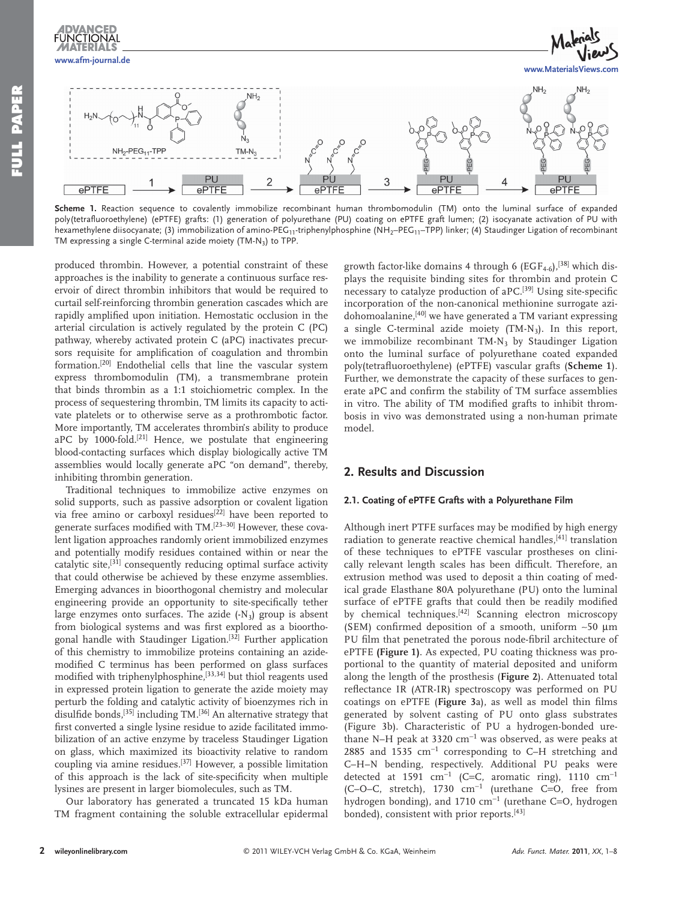

Scheme 1. Reaction sequence to covalently immobilize recombinant human thrombomodulin (TM) onto the luminal surface of expanded poly(tetrafluoroethylene) (ePTFE) grafts: (1) generation of polyurethane (PU) coating on ePTFE graft lumen; (2) isocyanate activation of PU with hexamethylene diisocyanate; (3) immobilization of amino-PEG<sub>11</sub>-triphenylphosphine (NH<sub>2</sub>-PEG<sub>11</sub>-TPP) linker; (4) Staudinger Ligation of recombinant TM expressing a single C-terminal azide moiety  $(TM-N_3)$  to TPP.

produced thrombin. However, a potential constraint of these approaches is the inability to generate a continuous surface reservoir of direct thrombin inhibitors that would be required to curtail self-reinforcing thrombin generation cascades which are rapidly amplified upon initiation. Hemostatic occlusion in the arterial circulation is actively regulated by the protein C (PC) pathway, whereby activated protein C (aPC) inactivates precursors requisite for amplification of coagulation and thrombin formation.<sup>[20]</sup> Endothelial cells that line the vascular system express thrombomodulin (TM), a transmembrane protein that binds thrombin as a 1:1 stoichiometric complex. In the process of sequestering thrombin, TM limits its capacity to activate platelets or to otherwise serve as a prothrombotic factor. More importantly, TM accelerates thrombin's ability to produce aPC by 1000-fold.<sup>[21]</sup> Hence, we postulate that engineering blood-contacting surfaces which display biologically active TM assemblies would locally generate aPC "on demand", thereby, inhibiting thrombin generation.

 Traditional techniques to immobilize active enzymes on solid supports, such as passive adsorption or covalent ligation via free amino or carboxyl residues<sup>[22]</sup> have been reported to generate surfaces modified with TM.<sup>[23–30]</sup> However, these covalent ligation approaches randomly orient immobilized enzymes and potentially modify residues contained within or near the catalytic site,<sup>[31]</sup> consequently reducing optimal surface activity that could otherwise be achieved by these enzyme assemblies. Emerging advances in bioorthogonal chemistry and molecular engineering provide an opportunity to site-specifically tether large enzymes onto surfaces. The azide  $(-N_3)$  group is absent from biological systems and was first explored as a bioorthogonal handle with Staudinger Ligation.<sup>[32]</sup> Further application of this chemistry to immobilize proteins containing an azidemodified C terminus has been performed on glass surfaces modified with triphenylphosphine,<sup>[33,34]</sup> but thiol reagents used in expressed protein ligation to generate the azide moiety may perturb the folding and catalytic activity of bioenzymes rich in disulfide bonds, [35] including TM.<sup>[36]</sup> An alternative strategy that first converted a single lysine residue to azide facilitated immobilization of an active enzyme by traceless Staudinger Ligation on glass, which maximized its bioactivity relative to random coupling via amine residues.<sup>[37]</sup> However, a possible limitation of this approach is the lack of site-specificity when multiple lysines are present in larger biomolecules, such as TM.

 Our laboratory has generated a truncated 15 kDa human TM fragment containing the soluble extracellular epidermal

growth factor-like domains 4 through 6 (EGF<sub>4-6</sub>),<sup>[38]</sup> which displays the requisite binding sites for thrombin and protein C necessary to catalyze production of aPC.<sup>[39]</sup> Using site-specific incorporation of the non-canonical methionine surrogate azidohomoalanine,<sup>[40]</sup> we have generated a TM variant expressing a single C-terminal azide moiety  $(TM-N_3)$ . In this report, we immobilize recombinant  $TM-N_3$  by Staudinger Ligation onto the luminal surface of polyurethane coated expanded poly(tetrafl uoroethylene) (ePTFE) vascular grafts ( **Scheme 1** ). Further, we demonstrate the capacity of these surfaces to generate aPC and confirm the stability of TM surface assemblies in vitro. The ability of TM modified grafts to inhibit thrombosis in vivo was demonstrated using a non-human primate model.

## **2. Results and Discussion**

#### **2.1. Coating of ePTFE Grafts with a Polyurethane Film**

Although inert PTFE surfaces may be modified by high energy radiation to generate reactive chemical handles, <a>[41]</a> translation of these techniques to ePTFE vascular prostheses on clinically relevant length scales has been difficult. Therefore, an extrusion method was used to deposit a thin coating of medical grade Elasthane 80A polyurethane (PU) onto the luminal surface of ePTFE grafts that could then be readily modified by chemical techniques.<sup>[42]</sup> Scanning electron microscopy (SEM) confirmed deposition of a smooth, uniform ∼50 μm PU film that penetrated the porous node-fibril architecture of ePTFE **(Figure 1)** . As expected, PU coating thickness was proportional to the quantity of material deposited and uniform along the length of the prosthesis ( **Figure 2** ). Attenuated total reflectance IR (ATR-IR) spectroscopy was performed on PU coatings on ePTFE (Figure 3a), as well as model thin films generated by solvent casting of PU onto glass substrates (Figure 3b). Characteristic of PU a hydrogen-bonded urethane N–H peak at 3320  $cm^{-1}$  was observed, as were peaks at 2885 and 1535  $cm^{-1}$  corresponding to C–H stretching and C–H–N bending, respectively. Additional PU peaks were detected at 1591  $cm^{-1}$  (C=C, aromatic ring), 1110  $cm^{-1}$ (C–O–C, stretch),  $1730 \text{ cm}^{-1}$  (urethane C=O, free from hydrogen bonding), and 1710  $cm^{-1}$  (urethane C=O, hydrogen bonded), consistent with prior reports.<sup>[43]</sup>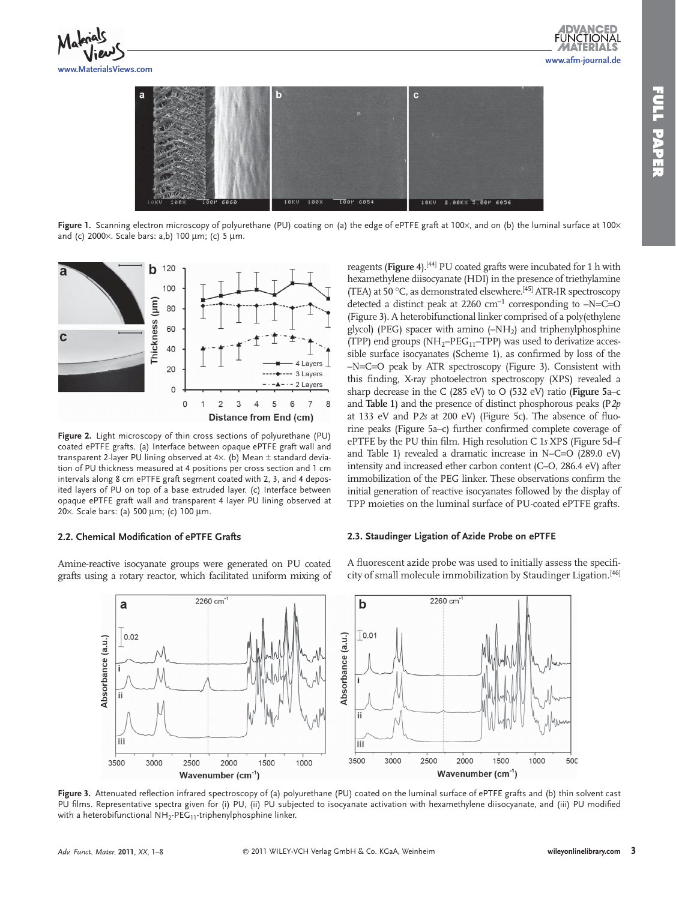**www.MaterialsViews.com**

**www.afm-journal.de**



Figure 1. Scanning electron microscopy of polyurethane (PU) coating on (a) the edge of ePTFE graft at 100×, and on (b) the luminal surface at 100× and (c) 2000 $\times$ . Scale bars: a,b) 100  $\mu$ m; (c) 5  $\mu$ m.



Figure 2. Light microscopy of thin cross sections of polyurethane (PU) coated ePTFE grafts. (a) Interface between opaque ePTFE graft wall and transparent 2-layer PU lining observed at  $4 \times$ . (b) Mean  $\pm$  standard deviation of PU thickness measured at 4 positions per cross section and 1 cm intervals along 8 cm ePTFE graft segment coated with 2, 3, and 4 deposited layers of PU on top of a base extruded layer. (c) Interface between opaque ePTFE graft wall and transparent 4 layer PU lining observed at 20 $\times$ . Scale bars: (a) 500 μm; (c) 100 μm.

#### **2.2. Chemical Modification of ePTFE Grafts**

 Amine-reactive isocyanate groups were generated on PU coated grafts using a rotary reactor, which facilitated uniform mixing of

reagents (Figure 4).<sup>[44]</sup> PU coated grafts were incubated for 1 h with hexamethylene diisocyanate (HDI) in the presence of triethylamine (TEA) at 50 °C, as demonstrated elsewhere.<sup>[45]</sup> ATR-IR spectroscopy detected a distinct peak at 2260 cm<sup>-1</sup> corresponding to -N=C=O (Figure 3). A heterobifunctional linker comprised of a poly(ethylene glycol) (PEG) spacer with amino  $(-NH<sub>2</sub>)$  and triphenylphosphine (TPP) end groups ( $NH_2$ -PEG<sub>11</sub>-TPP) was used to derivatize accessible surface isocyanates (Scheme 1), as confirmed by loss of the  $-N=C=O$  peak by ATR spectroscopy (Figure 3). Consistent with this finding, X-ray photoelectron spectroscopy (XPS) revealed a sharp decrease in the C (285 eV) to O (532 eV) ratio ( **Figure 5** a–c and **Table 1** ) and the presence of distinct phosphorous peaks (P *2p* at 133 eV and P2s at 200 eV) (Figure 5c). The absence of fluorine peaks (Figure 5a–c) further confirmed complete coverage of ePTFE by the PU thin film. High resolution C 1s XPS (Figure 5d–f and Table 1) revealed a dramatic increase in N–C=O  $(289.0 \text{ eV})$ intensity and increased ether carbon content (C–O, 286.4 eV) after immobilization of the PEG linker. These observations confirm the initial generation of reactive isocyanates followed by the display of TPP moieties on the luminal surface of PU-coated ePTFE grafts.

#### **2.3. Staudinger Ligation of Azide Probe on ePTFE**

A fluorescent azide probe was used to initially assess the specificity of small molecule immobilization by Staudinger Ligation. [46]



Figure 3. Attenuated reflection infrared spectroscopy of (a) polyurethane (PU) coated on the luminal surface of ePTFE grafts and (b) thin solvent cast PU films. Representative spectra given for (i) PU, (ii) PU subjected to isocyanate activation with hexamethylene diisocyanate, and (iii) PU modified with a heterobifunctional  $NH_2$ -PEG<sub>11</sub>-triphenylphosphine linker.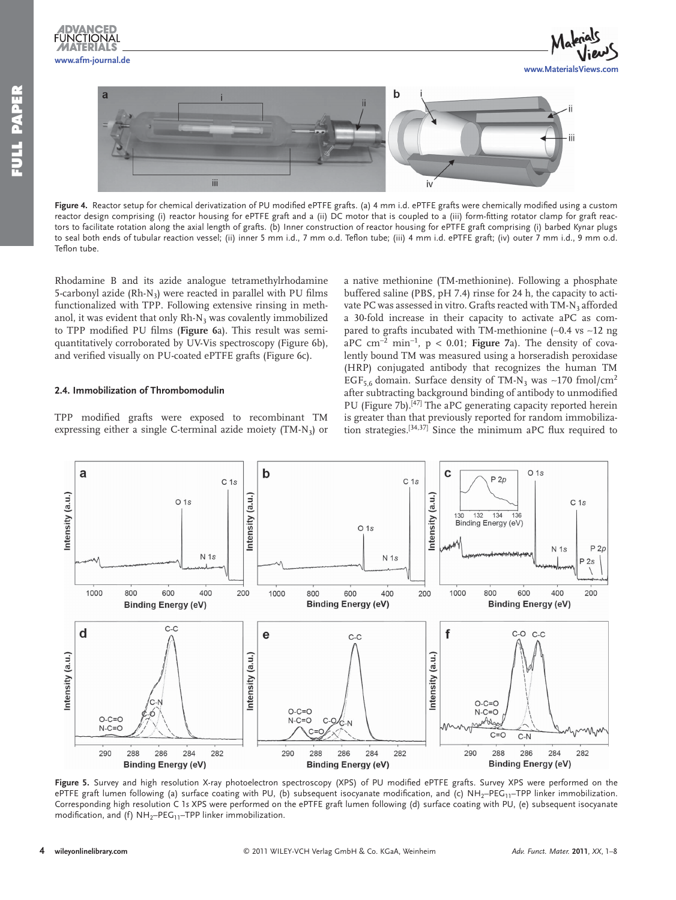**www.afm-journal.de**



Figure 4. Reactor setup for chemical derivatization of PU modified ePTFE grafts. (a) 4 mm i.d. ePTFE grafts were chemically modified using a custom reactor design comprising (i) reactor housing for ePTFE graft and a (ii) DC motor that is coupled to a (iii) form-fitting rotator clamp for graft reactors to facilitate rotation along the axial length of grafts. (b) Inner construction of reactor housing for ePTFE graft comprising (i) barbed Kynar plugs to seal both ends of tubular reaction vessel; (ii) inner 5 mm i.d., 7 mm o.d. Teflon tube; (iii) 4 mm i.d. ePTFE graft; (iv) outer 7 mm i.d., 9 mm o.d. Teflon tube.

Rhodamine B and its azide analogue tetramethylrhodamine 5-carbonyl azide ( $Rh-N_3$ ) were reacted in parallel with PU films functionalized with TPP. Following extensive rinsing in methanol, it was evident that only  $Rh-N<sub>3</sub>$  was covalently immobilized to TPP modified PU films (Figure 6a). This result was semiquantitatively corroborated by UV-Vis spectroscopy (Figure 6b), and verified visually on PU-coated ePTFE grafts (Figure 6c).

## **2.4. Immobilization of Thrombomodulin**

TPP modified grafts were exposed to recombinant TM expressing either a single C-terminal azide moiety (TM-N<sub>3</sub>) or

a native methionine (TM-methionine). Following a phosphate buffered saline (PBS, pH 7.4) rinse for 24 h, the capacity to activate PC was assessed in vitro. Grafts reacted with TM-N<sub>3</sub> afforded a 30-fold increase in their capacity to activate aPC as compared to grafts incubated with TM-methionine (~0.4 vs ~12 ng  $aPC \text{ cm}^{-2} \text{ min}^{-1}$ ,  $p < 0.01$ ; **Figure** 7a). The density of covalently bound TM was measured using a horseradish peroxidase (HRP) conjugated antibody that recognizes the human TM EGF<sub>56</sub> domain. Surface density of TM-N<sub>3</sub> was ~170 fmol/cm<sup>2</sup> after subtracting background binding of antibody to unmodified PU (Figure 7b).<sup>[47]</sup> The aPC generating capacity reported herein is greater than that previously reported for random immobilization strategies.  $[34,37]$  Since the minimum aPC flux required to



Figure 5. Survey and high resolution X-ray photoelectron spectroscopy (XPS) of PU modified ePTFE grafts. Survey XPS were performed on the ePTFE graft lumen following (a) surface coating with PU, (b) subsequent isocyanate modification, and (c) NH<sub>2</sub>-PEG<sub>11</sub>-TPP linker immobilization. Corresponding high resolution C 1s XPS were performed on the ePTFE graft lumen following (d) surface coating with PU, (e) subsequent isocyanate modification, and (f)  $NH_2$ -PEG<sub>11</sub>-TPP linker immobilization.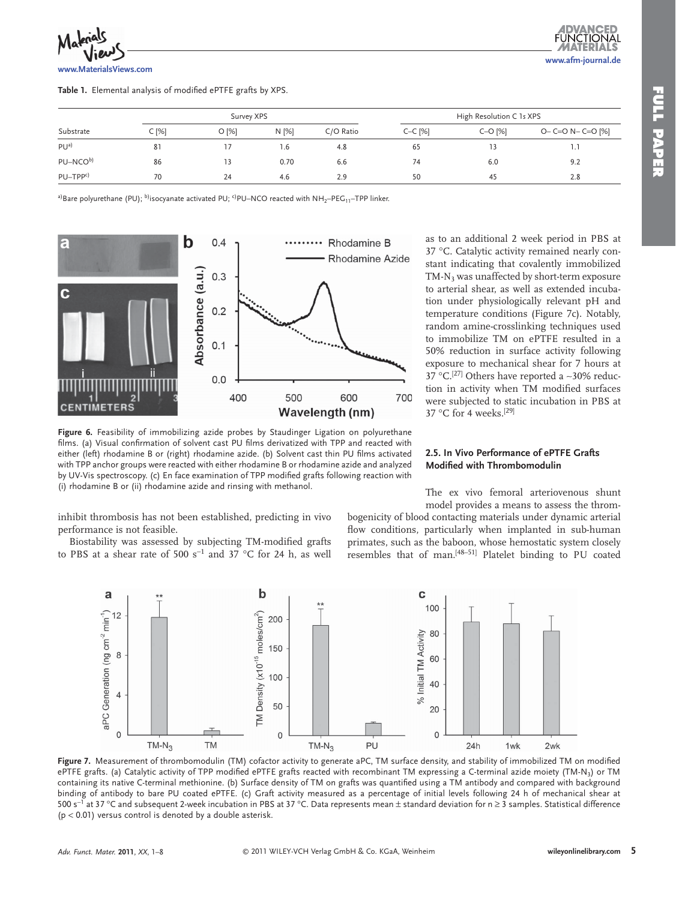#### Table 1. Elemental analysis of modified ePTFE grafts by XPS.

| Substrate             | Survey XPS |      |         |           | High Resolution C 1s XPS |           |                   |
|-----------------------|------------|------|---------|-----------|--------------------------|-----------|-------------------|
|                       | C [%]      | O[%] | $N$ [%] | C/O Ratio | $C - C$ [%]              | $C-O [%]$ | O- C=O N- C=O [%] |
| PU <sub>a</sub>       | 81         |      | 1.6     | 4.8       | 65                       |           |                   |
| PU-NCOb)              | 86         | 13   | 0.70    | 6.6       | 74                       | 6.0       | 9.2               |
| PU-TPP <sup>c</sup> ) | 70         | 24   | 4.6     | 2.9       | 50                       | 45        | 2.8               |

a)Bare polyurethane (PU); <sup>b)</sup> isocyanate activated PU; <sup>c)</sup>PU–NCO reacted with NH<sub>2</sub>-PEG<sub>11</sub>-TPP linker.



Figure 6. Feasibility of immobilizing azide probes by Staudinger Ligation on polyurethane films. (a) Visual confirmation of solvent cast PU films derivatized with TPP and reacted with either (left) rhodamine B or (right) rhodamine azide. (b) Solvent cast thin PU films activated with TPP anchor groups were reacted with either rhodamine B or rhodamine azide and analyzed by UV-Vis spectroscopy. (c) En face examination of TPP modified grafts following reaction with (i) rhodamine B or (ii) rhodamine azide and rinsing with methanol.

inhibit thrombosis has not been established, predicting in vivo performance is not feasible.

Biostability was assessed by subjecting TM-modified grafts to PBS at a shear rate of 500 s<sup>-1</sup> and 37 °C for 24 h, as well

as to an additional 2 week period in PBS at 37 °C. Catalytic activity remained nearly constant indicating that covalently immobilized  $TM-N<sub>3</sub>$  was unaffected by short-term exposure to arterial shear, as well as extended incubation under physiologically relevant pH and temperature conditions (Figure 7c). Notably, random amine-crosslinking techniques used to immobilize TM on ePTFE resulted in a 50% reduction in surface activity following exposure to mechanical shear for 7 hours at 37 °C.<sup>[27]</sup> Others have reported a ~30% reduction in activity when TM modified surfaces were subjected to static incubation in PBS at 37 °C for 4 weeks. [29]

## **2.5. In Vivo Performance of ePTFE Grafts Modified with Thrombomodulin**

 The ex vivo femoral arteriovenous shunt model provides a means to assess the thrombogenicity of blood contacting materials under dynamic arterial flow conditions, particularly when implanted in sub-human primates, such as the baboon, whose hemostatic system closely resembles that of man.<sup>[48-51]</sup> Platelet binding to PU coated



Figure 7. Measurement of thrombomodulin (TM) cofactor activity to generate aPC, TM surface density, and stability of immobilized TM on modified ePTFE grafts. (a) Catalytic activity of TPP modified ePTFE grafts reacted with recombinant TM expressing a C-terminal azide moiety (TM-N<sub>3</sub>) or TM containing its native C-terminal methionine. (b) Surface density of TM on grafts was quantified using a TM antibody and compared with background binding of antibody to bare PU coated ePTFE. (c) Graft activity measured as a percentage of initial levels following 24 h of mechanical shear at 500 s<sup>-1</sup> at 37 °C and subsequent 2-week incubation in PBS at 37 °C. Data represents mean±standard deviation for n ≥ 3 samples. Statistical difference (p < 0.01) versus control is denoted by a double asterisk.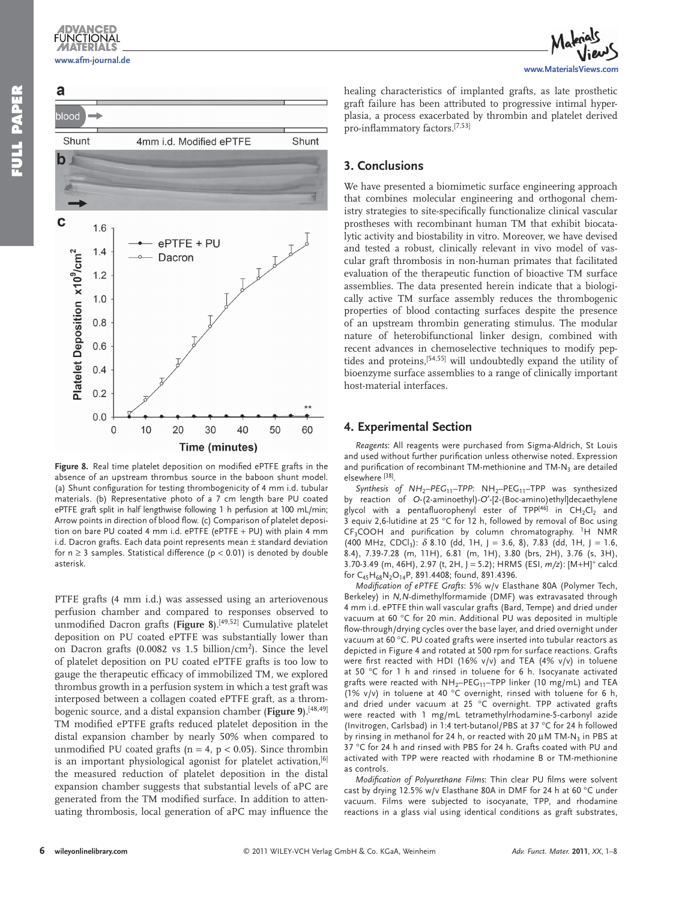





Figure 8. Real time platelet deposition on modified ePTFE grafts in the absence of an upstream thrombus source in the baboon shunt model. (a) Shunt configuration for testing thrombogenicity of 4 mm i.d. tubular materials. (b) Representative photo of a 7 cm length bare PU coated ePTFE graft split in half lengthwise following 1 h perfusion at 100 mL/min; Arrow points in direction of blood flow. (c) Comparison of platelet deposition on bare PU coated 4 mm i.d. ePTFE (ePTFE + PU) with plain 4 mm i.d. Dacron grafts. Each data point represents mean ± standard deviation for  $n \geq 3$  samples. Statistical difference ( $p < 0.01$ ) is denoted by double asterisk.

Time (minutes)

PTFE grafts (4 mm i.d.) was assessed using an arteriovenous perfusion chamber and compared to responses observed to unmodified Dacron grafts (Figure 8).<sup>[49,52]</sup> Cumulative platelet deposition on PU coated ePTFE was substantially lower than on Dacron grafts (0.0082 vs  $1.5$  billion/cm<sup>2</sup>). Since the level of platelet deposition on PU coated ePTFE grafts is too low to gauge the therapeutic efficacy of immobilized TM, we explored thrombus growth in a perfusion system in which a test graft was interposed between a collagen coated ePTFE graft, as a thrombogenic source, and a distal expansion chamber ( **Figure 9** ). [48,49] TM modified ePTFE grafts reduced platelet deposition in the distal expansion chamber by nearly 50% when compared to unmodified PU coated grafts ( $n = 4$ ,  $p < 0.05$ ). Since thrombin is an important physiological agonist for platelet activation,  $[6]$ the measured reduction of platelet deposition in the distal expansion chamber suggests that substantial levels of aPC are generated from the TM modified surface. In addition to attenuating thrombosis, local generation of aPC may influence the

healing characteristics of implanted grafts, as late prosthetic graft failure has been attributed to progressive intimal hyperplasia, a process exacerbated by thrombin and platelet derived pro-inflammatory factors.<sup>[7,53]</sup>

# **3. Conclusions**

 We have presented a biomimetic surface engineering approach that combines molecular engineering and orthogonal chemistry strategies to site-specifically functionalize clinical vascular prostheses with recombinant human TM that exhibit biocatalytic activity and biostability in vitro. Moreover, we have devised and tested a robust, clinically relevant in vivo model of vascular graft thrombosis in non-human primates that facilitated evaluation of the therapeutic function of bioactive TM surface assemblies. The data presented herein indicate that a biologically active TM surface assembly reduces the thrombogenic properties of blood contacting surfaces despite the presence of an upstream thrombin generating stimulus. The modular nature of heterobifunctional linker design, combined with recent advances in chemoselective techniques to modify peptides and proteins, [54,55] will undoubtedly expand the utility of bioenzyme surface assemblies to a range of clinically important host-material interfaces.

# **4. Experimental Section**

*Reagents* : All reagents were purchased from Sigma-Aldrich, St Louis and used without further purification unless otherwise noted. Expression and purification of recombinant TM-methionine and TM-N<sub>3</sub> are detailed elsewhere [38] .

*Synthesis of NH<sub>2</sub>-PEG<sub>11</sub>-TPP*: NH<sub>2</sub>-PEG<sub>11</sub>-TPP was synthesized by reaction of *O-* (2-aminoethyl)- *O*′ -[2-(Boc-amino)ethyl]decaethylene glycol with a pentafluorophenyl ester of  $TPP^{[46]}$  in  $CH_2Cl_2$  and 3 equiv 2,6-lutidine at 25 °C for 12 h, followed by removal of Boc using  $CF<sub>3</sub>COOH$  and purification by column chromatography. <sup>1</sup>H NMR (400 MHz, CDCl<sub>3</sub>):  $\delta$  8.10 (dd, 1H, J = 3.6, 8), 7.83 (dd, 1H, J = 1.6, 8.4), 7.39-7.28 (m, 11H), 6.81 (m, 1H), 3.80 (brs, 2H), 3.76 (s, 3H), 3.70-3.49 (m, 46H), 2.97 (t, 2H, J = 5.2); HRMS (ESI, *m/z*): [M+H]<sup>+</sup> calcd for  $C_{45}H_{68}N_2O_{14}P$ , 891.4408; found, 891.4396.

*Modification of ePTFE Grafts*: 5% w/v Elasthane 80A (Polymer Tech, Berkeley) in *N,N* -dimethylformamide (DMF) was extravasated through 4 mm i.d. ePTFE thin wall vascular grafts (Bard, Tempe) and dried under vacuum at 60 °C for 20 min. Additional PU was deposited in multiple flow-through/drying cycles over the base layer, and dried overnight under vacuum at 60 °C. PU coated grafts were inserted into tubular reactors as depicted in Figure 4 and rotated at 500 rpm for surface reactions. Grafts were first reacted with HDI (16% v/v) and TEA (4% v/v) in toluene at 50 °C for 1 h and rinsed in toluene for 6 h. Isocyanate activated grafts were reacted with  $NH_2-PEG_{11}-TPP$  linker (10 mg/mL) and TEA (1% v/v) in toluene at 40 °C overnight, rinsed with toluene for 6 h, and dried under vacuum at 25 °C overnight. TPP activated grafts were reacted with 1 mg/mL tetramethylrhodamine-5-carbonyl azide (Invitrogen, Carlsbad) in 1:4 tert-butanol/PBS at 37 °C for 24 h followed by rinsing in methanol for 24 h, or reacted with 20  $\mu$ M TM-N<sub>3</sub> in PBS at 37 °C for 24 h and rinsed with PBS for 24 h. Grafts coated with PU and activated with TPP were reacted with rhodamine B or TM-methionine as controls.

*Modification of Polyurethane Films*: Thin clear PU films were solvent cast by drying 12.5% w/v Elasthane 80A in DMF for 24 h at 60  $\degree$ C under vacuum. Films were subjected to isocyanate, TPP, and rhodamine reactions in a glass vial using identical conditions as graft substrates,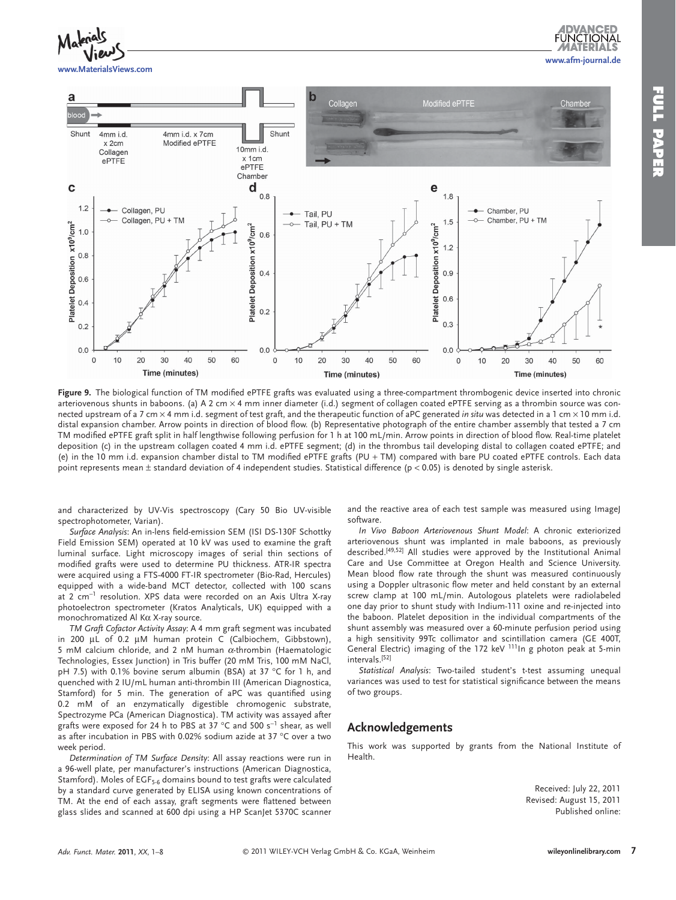

**www.MaterialsViews.com**



Figure 9. The biological function of TM modified ePTFE grafts was evaluated using a three-compartment thrombogenic device inserted into chronic arteriovenous shunts in baboons. (a) A 2 cm × 4 mm inner diameter (i.d.) segment of collagen coated ePTFE serving as a thrombin source was connected upstream of a 7 cm × 4 mm i.d. segment of test graft, and the therapeutic function of aPC generated *in situ* was detected in a 1 cm × 10 mm i.d. distal expansion chamber. Arrow points in direction of blood flow. (b) Representative photograph of the entire chamber assembly that tested a 7 cm TM modified ePTFE graft split in half lengthwise following perfusion for 1 h at 100 mL/min. Arrow points in direction of blood flow. Real-time platelet deposition (c) in the upstream collagen coated 4 mm i.d. ePTFE segment; (d) in the thrombus tail developing distal to collagen coated ePTFE; and (e) in the 10 mm i.d. expansion chamber distal to TM modified ePTFE grafts (PU + TM) compared with bare PU coated ePTFE controls. Each data point represents mean ± standard deviation of 4 independent studies. Statistical difference (p < 0.05) is denoted by single asterisk.

and characterized by UV-Vis spectroscopy (Cary 50 Bio UV-visible spectrophotometer, Varian).

Surface Analysis: An in-lens field-emission SEM (ISI DS-130F Schottky Field Emission SEM) operated at 10 kV was used to examine the graft luminal surface. Light microscopy images of serial thin sections of modified grafts were used to determine PU thickness. ATR-IR spectra were acquired using a FTS-4000 FT-IR spectrometer (Bio-Rad, Hercules) equipped with a wide-band MCT detector, collected with 100 scans at 2 cm<sup>-1</sup> resolution. XPS data were recorded on an Axis Ultra X-ray photoelectron spectrometer (Kratos Analyticals, UK) equipped with a monochromatized Al Kα X-ray source.

*TM Graft Cofactor Activity Assay* : A 4 mm graft segment was incubated in 200 μL of 0.2 μM human protein C (Calbiochem, Gibbstown), 5 mM calcium chloride, and 2 nM human  $\alpha$ -thrombin (Haematologic Technologies, Essex Junction) in Tris buffer (20 mM Tris, 100 mM NaCl, pH 7.5) with 0.1% bovine serum albumin (BSA) at 37 °C for 1 h, and quenched with 2 IU/mL human anti-thrombin III (American Diagnostica, Stamford) for 5 min. The generation of aPC was quantified using 0.2 mM of an enzymatically digestible chromogenic substrate, Spectrozyme PCa (American Diagnostica). TM activity was assayed after grafts were exposed for 24 h to PBS at 37 °C and 500 s<sup>-1</sup> shear, as well as after incubation in PBS with 0.02% sodium azide at 37 °C over a two week period.

*Determination of TM Surface Density* : All assay reactions were run in a 96-well plate, per manufacturer's instructions (American Diagnostica, Stamford). Moles of EGF<sub>5-6</sub> domains bound to test grafts were calculated by a standard curve generated by ELISA using known concentrations of TM. At the end of each assay, graft segments were flattened between glass slides and scanned at 600 dpi using a HP ScanJet 5370C scanner

and the reactive area of each test sample was measured using ImageJ software.

*In Vivo Baboon Arteriovenous Shunt Model* : A chronic exteriorized arteriovenous shunt was implanted in male baboons, as previously described. [49,52] All studies were approved by the Institutional Animal Care and Use Committee at Oregon Health and Science University. Mean blood flow rate through the shunt was measured continuously using a Doppler ultrasonic flow meter and held constant by an external screw clamp at 100 mL/min. Autologous platelets were radiolabeled one day prior to shunt study with Indium-111 oxine and re-injected into the baboon. Platelet deposition in the individual compartments of the shunt assembly was measured over a 60-minute perfusion period using a high sensitivity 99Tc collimator and scintillation camera (GE 400T, General Electric) imaging of the 172 keV <sup>111</sup>In g photon peak at 5-min intervals. [52]

*Statistical Analysis* : Two-tailed student's t-test assuming unequal variances was used to test for statistical significance between the means of two groups.

# **Acknowledgements**

 This work was supported by grants from the National Institute of Health.

> Received: July 22, 2011 Revised: August 15, 2011 Published online:

**www.afm-journal.de**

UNCTIONAL